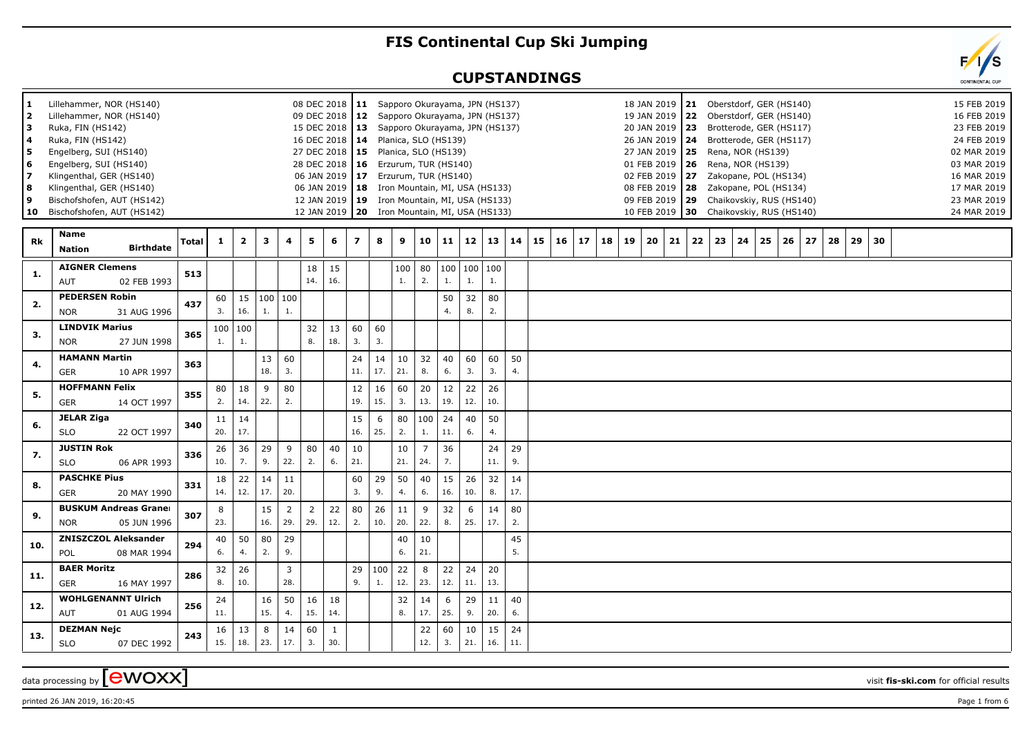## **FIS Continental Cup Ski Jumping**

## **CUPSTANDINGS**

| 1<br>2<br>з<br>4<br>5 | Lillehammer, NOR (HS140)<br>Lillehammer, NOR (HS140)<br>Ruka, FIN (HS142)<br>Ruka, FIN (HS142)<br>Engelberg, SUI (HS140) |              |              |              |                        |                       |                | 08 DEC 2018   11 Sapporo Okurayama, JPN (HS137)<br>09 DEC 2018   12 Sapporo Okurayama, JPN (HS137)<br>15 DEC 2018   13 Sapporo Okurayama, JPN (HS137)<br>16 DEC 2018   14 Planica, SLO (HS139)<br>27 DEC 2018   15 Planica, SLO (HS139) |                |           |           |                |           |                 |           |           |    |    |                 |    |    |          | 18 JAN 2019   21 Oberstdorf, GER (HS140)<br>19 JAN 2019   22 Oberstdorf, GER (HS140)<br>20 JAN 2019   23 Brotterode, GER (HS117)<br>26 JAN 2019   24 Brotterode, GER (HS117)<br>27 JAN 2019   25 Rena, NOR (HS139) |    |                       |    |    |    |    |    |    |  |  | 15 FEB 2019<br>16 FEB 2019<br>23 FEB 2019<br>24 FEB 2019<br>02 MAR 2019 |
|-----------------------|--------------------------------------------------------------------------------------------------------------------------|--------------|--------------|--------------|------------------------|-----------------------|----------------|-----------------------------------------------------------------------------------------------------------------------------------------------------------------------------------------------------------------------------------------|----------------|-----------|-----------|----------------|-----------|-----------------|-----------|-----------|----|----|-----------------|----|----|----------|--------------------------------------------------------------------------------------------------------------------------------------------------------------------------------------------------------------------|----|-----------------------|----|----|----|----|----|----|--|--|-------------------------------------------------------------------------|
| 6<br>$\overline{ }$   | Engelberg, SUI (HS140)<br>Klingenthal, GER (HS140)                                                                       |              |              |              |                        |                       |                | 28 DEC 2018   16 Erzurum, TUR (HS140)<br>06 JAN 2019   17 Erzurum, TUR (HS140)                                                                                                                                                          |                |           |           |                |           |                 |           |           |    |    |                 |    |    |          | 01 FEB 2019   26 Rena, NOR (HS139)<br>02 FEB 2019   27     Zakopane, POL (HS134)                                                                                                                                   |    |                       |    |    |    |    |    |    |  |  | 03 MAR 2019<br>16 MAR 2019                                              |
| 8                     | Klingenthal, GER (HS140)                                                                                                 |              |              |              |                        |                       |                | 06 JAN 2019   18 Iron Mountain, MI, USA (HS133)                                                                                                                                                                                         |                |           |           |                |           |                 |           |           |    |    |                 |    |    |          | 08 FEB 2019 28                                                                                                                                                                                                     |    | Zakopane, POL (HS134) |    |    |    |    |    |    |  |  | 17 MAR 2019                                                             |
| 9<br>10               | Bischofshofen, AUT (HS142)<br>Bischofshofen, AUT (HS142)                                                                 |              |              |              |                        |                       |                | 12 JAN 2019   19 Iron Mountain, MI, USA (HS133)<br>12 JAN 2019   20 Iron Mountain, MI, USA (HS133)                                                                                                                                      |                |           |           |                |           |                 |           |           |    |    |                 |    |    |          | 09 FEB 2019   29 Chaikovskiy, RUS (HS140)<br>10 FEB 2019 30 Chaikovskiy, RUS (HS140)                                                                                                                               |    |                       |    |    |    |    |    |    |  |  | 23 MAR 2019<br>24 MAR 2019                                              |
|                       |                                                                                                                          |              |              |              |                        |                       |                |                                                                                                                                                                                                                                         |                |           |           |                |           |                 |           |           |    |    |                 |    |    |          |                                                                                                                                                                                                                    |    |                       |    |    |    |    |    |    |  |  |                                                                         |
| Rk                    | Name<br><b>Birthdate</b><br><b>Nation</b>                                                                                | <b>Total</b> | $\mathbf{1}$ | $\mathbf{2}$ | 3                      | 4                     | 5              | 6                                                                                                                                                                                                                                       | $\overline{z}$ | 8         | 9         | 10             | 11        | 12              | 13        | 14        | 15 | 16 | 17 <sup>1</sup> | 18 | 19 | 20<br>21 | 22                                                                                                                                                                                                                 | 23 | 24                    | 25 | 26 | 27 | 28 | 29 | 30 |  |  |                                                                         |
| 1.                    | <b>AIGNER Clemens</b><br><b>AUT</b><br>02 FEB 1993                                                                       | 513          |              |              |                        |                       | 18<br>14.      | 15<br>16.                                                                                                                                                                                                                               |                |           | 100<br>1. | 80<br>2.       | 100<br>1. | 100   100<br>1. | 1.        |           |    |    |                 |    |    |          |                                                                                                                                                                                                                    |    |                       |    |    |    |    |    |    |  |  |                                                                         |
| 2.                    | <b>PEDERSEN Robin</b>                                                                                                    | 437          | 60           |              | $15 \mid 100 \mid 100$ |                       |                |                                                                                                                                                                                                                                         |                |           |           |                | 50        | 32              | 80        |           |    |    |                 |    |    |          |                                                                                                                                                                                                                    |    |                       |    |    |    |    |    |    |  |  |                                                                         |
|                       | <b>NOR</b><br>31 AUG 1996                                                                                                |              | 3.           | 16.          | 1.                     | 1.                    |                |                                                                                                                                                                                                                                         |                |           |           |                | 4.        | 8.              | 2.        |           |    |    |                 |    |    |          |                                                                                                                                                                                                                    |    |                       |    |    |    |    |    |    |  |  |                                                                         |
| 3.                    | <b>LINDVIK Marius</b>                                                                                                    | 365          |              | 100   100    |                        |                       | 32             | 13                                                                                                                                                                                                                                      | 60             | 60        |           |                |           |                 |           |           |    |    |                 |    |    |          |                                                                                                                                                                                                                    |    |                       |    |    |    |    |    |    |  |  |                                                                         |
|                       | <b>NOR</b><br>27 JUN 1998                                                                                                |              | 1.           | 1.           |                        |                       | 8.             | 18.                                                                                                                                                                                                                                     | 3.             | 3.        |           |                |           |                 |           |           |    |    |                 |    |    |          |                                                                                                                                                                                                                    |    |                       |    |    |    |    |    |    |  |  |                                                                         |
| 4.                    | <b>HAMANN Martin</b><br><b>GER</b><br>10 APR 1997                                                                        | 363          |              |              | 13<br>18.              | 60<br>3.              |                |                                                                                                                                                                                                                                         | 24<br>11.      | 14<br>17. | 10<br>21. | 32<br>8.       | 40<br>6.  | 60<br>3.        | 60<br>3.  | 50<br>4.  |    |    |                 |    |    |          |                                                                                                                                                                                                                    |    |                       |    |    |    |    |    |    |  |  |                                                                         |
| 5.                    | <b>HOFFMANN Felix</b>                                                                                                    | 355          | 80           | 18           | 9                      | 80                    |                |                                                                                                                                                                                                                                         | 12             | 16        | 60        | 20             | 12        | 22              | 26        |           |    |    |                 |    |    |          |                                                                                                                                                                                                                    |    |                       |    |    |    |    |    |    |  |  |                                                                         |
|                       | <b>GER</b><br>14 OCT 1997                                                                                                |              | 2.           | 14.          | 22.                    | 2.                    |                |                                                                                                                                                                                                                                         | 19.            | 15.       | 3.        | 13.            | 19.       | 12.             | 10.       |           |    |    |                 |    |    |          |                                                                                                                                                                                                                    |    |                       |    |    |    |    |    |    |  |  |                                                                         |
| 6.                    | <b>JELAR Ziga</b>                                                                                                        | 340          | 11           | 14           |                        |                       |                |                                                                                                                                                                                                                                         | 15             | 6         | 80        | 100            | 24        | 40              | 50        |           |    |    |                 |    |    |          |                                                                                                                                                                                                                    |    |                       |    |    |    |    |    |    |  |  |                                                                         |
|                       | <b>SLO</b><br>22 OCT 1997                                                                                                |              | 20.          | 17.          |                        |                       |                |                                                                                                                                                                                                                                         | 16.            | 25.       | 2.        | 1.             | 11.       | 6.              | 4.        |           |    |    |                 |    |    |          |                                                                                                                                                                                                                    |    |                       |    |    |    |    |    |    |  |  |                                                                         |
| 7.                    | <b>JUSTIN Rok</b>                                                                                                        | 336          | 26           | 36<br>7.     | 29<br>9.               | $\overline{9}$        | 80<br>2.       | 40                                                                                                                                                                                                                                      | 10<br>21.      |           | 10        | $\overline{7}$ | 36<br>7.  |                 | 24<br>11. | 29        |    |    |                 |    |    |          |                                                                                                                                                                                                                    |    |                       |    |    |    |    |    |    |  |  |                                                                         |
|                       | <b>SLO</b><br>06 APR 1993<br><b>PASCHKE Pius</b>                                                                         |              | 10.          |              |                        | 22.                   |                | 6.                                                                                                                                                                                                                                      |                |           | 21.       | 24.            |           |                 |           | 9.        |    |    |                 |    |    |          |                                                                                                                                                                                                                    |    |                       |    |    |    |    |    |    |  |  |                                                                         |
| 8.                    | <b>GER</b><br>20 MAY 1990                                                                                                | 331          | 18<br>14.    | 22<br>12.    | 14<br>17.              | 11<br>20.             |                |                                                                                                                                                                                                                                         | 60<br>3.       | 29<br>9.  | 50<br>4.  | 40<br>6.       | 15<br>16. | 26<br>10.       | 32<br>8.  | 14<br>17. |    |    |                 |    |    |          |                                                                                                                                                                                                                    |    |                       |    |    |    |    |    |    |  |  |                                                                         |
| 9.                    | <b>BUSKUM Andreas Graner</b>                                                                                             | 307          | 8            |              | 15                     | $\overline{2}$        | $\overline{2}$ | 22                                                                                                                                                                                                                                      | 80             | 26        | 11        | 9              | 32        | 6               | 14        | 80        |    |    |                 |    |    |          |                                                                                                                                                                                                                    |    |                       |    |    |    |    |    |    |  |  |                                                                         |
|                       | 05 JUN 1996<br><b>NOR</b>                                                                                                |              | 23.          |              | 16.                    | 29.                   | 29.            | 12.                                                                                                                                                                                                                                     | 2.             | 10.       | 20.       | 22.            | 8.        | 25.             | 17.       | 2.        |    |    |                 |    |    |          |                                                                                                                                                                                                                    |    |                       |    |    |    |    |    |    |  |  |                                                                         |
| 10.                   | <b>ZNISZCZOL Aleksander</b>                                                                                              | 294          | 40           | 50           | 80                     | 29                    |                |                                                                                                                                                                                                                                         |                |           | 40        | 10             |           |                 |           | 45        |    |    |                 |    |    |          |                                                                                                                                                                                                                    |    |                       |    |    |    |    |    |    |  |  |                                                                         |
|                       | POL<br>08 MAR 1994                                                                                                       |              | 6.           | 4.           | 2.                     | 9.                    |                |                                                                                                                                                                                                                                         |                |           | 6.        | 21.            |           |                 |           | 5.        |    |    |                 |    |    |          |                                                                                                                                                                                                                    |    |                       |    |    |    |    |    |    |  |  |                                                                         |
| 11.                   | <b>BAER Moritz</b><br><b>GER</b><br>16 MAY 1997                                                                          | 286          | 32<br>8.     | 26<br>10.    |                        | $\overline{3}$<br>28. |                |                                                                                                                                                                                                                                         | 29<br>9.       | 100<br>1. | 22<br>12. | 8<br>23.       | 22<br>12. | 24<br>11.       | 20<br>13. |           |    |    |                 |    |    |          |                                                                                                                                                                                                                    |    |                       |    |    |    |    |    |    |  |  |                                                                         |
| 12.                   | <b>WOHLGENANNT Ulrich</b>                                                                                                | 256          | 24           |              | 16                     | 50                    | 16             | 18                                                                                                                                                                                                                                      |                |           | 32        | 14             | 6         | 29              | 11        | 40        |    |    |                 |    |    |          |                                                                                                                                                                                                                    |    |                       |    |    |    |    |    |    |  |  |                                                                         |
|                       | AUT<br>01 AUG 1994                                                                                                       |              | 11.          |              | 15.                    | 4.                    | 15.            | 14.                                                                                                                                                                                                                                     |                |           | 8.        | 17.            | 25.       | 9.              | 20.       | 6.        |    |    |                 |    |    |          |                                                                                                                                                                                                                    |    |                       |    |    |    |    |    |    |  |  |                                                                         |
| 13.                   | <b>DEZMAN Nejc</b><br><b>SLO</b><br>07 DEC 1992                                                                          | 243          | 16<br>15.    | 13<br>18.    | 8<br>23.               | 14<br>17.             | 60<br>3.       | 30.                                                                                                                                                                                                                                     |                |           |           | 22<br>12.      | 60<br>3.  | 10<br>21.       | 15<br>16. | 24<br>11. |    |    |                 |    |    |          |                                                                                                                                                                                                                    |    |                       |    |    |    |    |    |    |  |  |                                                                         |
|                       |                                                                                                                          |              |              |              |                        |                       |                |                                                                                                                                                                                                                                         |                |           |           |                |           |                 |           |           |    |    |                 |    |    |          |                                                                                                                                                                                                                    |    |                       |    |    |    |    |    |    |  |  |                                                                         |

data processing by **CWOXX** wisit **fis-ski.com** for official results

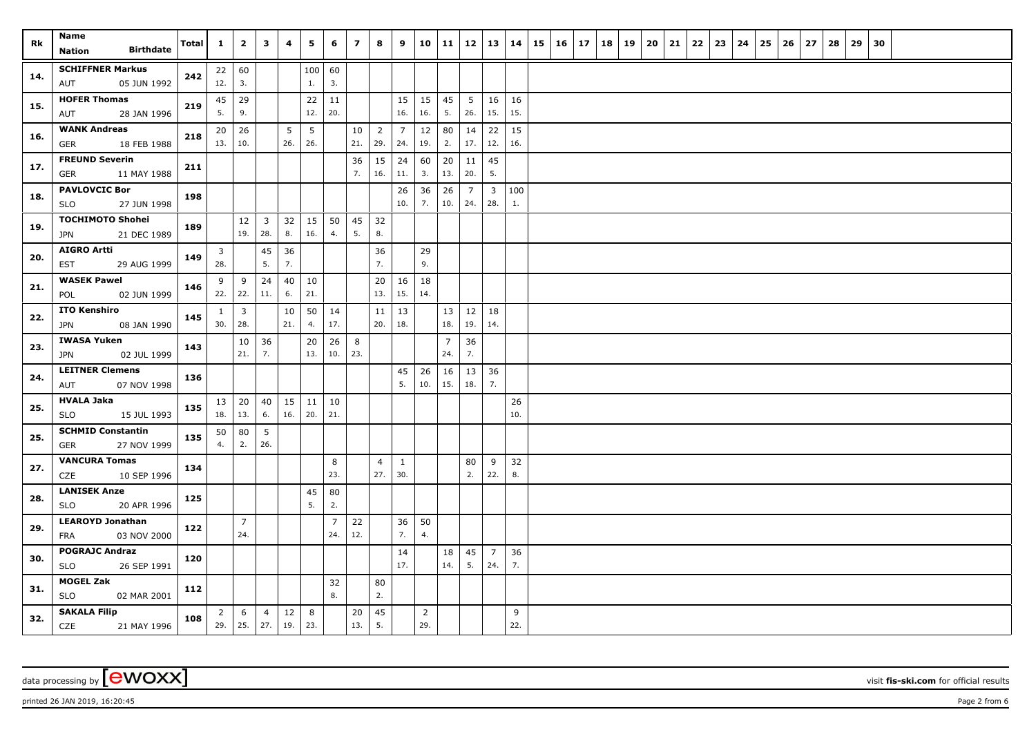| Rk  | Name<br><b>Birthdate</b><br><b>Nation</b>         | Total | $\mathbf{1}$                | $\mathbf{2}$          | $\mathbf{3}$            | 4            | 5         | 6         | $\overline{ }$ | 8                   | 9              | 10                    | 11             | 12                    | 13                             | 14        | 15 | $\vert$ 16 | 17 | 18 | 19 | 20 | 21 | 22 | 23 | 24 | 25 | 26 | 27 | 28 | 29 | 30 |  |  |
|-----|---------------------------------------------------|-------|-----------------------------|-----------------------|-------------------------|--------------|-----------|-----------|----------------|---------------------|----------------|-----------------------|----------------|-----------------------|--------------------------------|-----------|----|------------|----|----|----|----|----|----|----|----|----|----|----|----|----|----|--|--|
|     | <b>SCHIFFNER Markus</b>                           |       | 22   60                     |                       |                         |              | 100       | 60        |                |                     |                |                       |                |                       |                                |           |    |            |    |    |    |    |    |    |    |    |    |    |    |    |    |    |  |  |
| 14. | 05 JUN 1992<br>AUT                                | 242   | 12.                         | 3.                    |                         |              | 1.        | 3.        |                |                     |                |                       |                |                       |                                |           |    |            |    |    |    |    |    |    |    |    |    |    |    |    |    |    |  |  |
|     | <b>HOFER Thomas</b>                               |       | 45                          | 29                    |                         |              | 22        | 11        |                |                     | 15             | 15                    | 45             | 5                     | 16                             | 16        |    |            |    |    |    |    |    |    |    |    |    |    |    |    |    |    |  |  |
| 15. | 28 JAN 1996<br>AUT                                | 219   | 5.                          | 9.                    |                         |              | 12.       | 20.       |                |                     | 16.            | 16.                   | 5.             | 26.                   | 15.                            | 15.       |    |            |    |    |    |    |    |    |    |    |    |    |    |    |    |    |  |  |
| 16. | <b>WANK Andreas</b>                               | 218   | 20                          | 26                    |                         | 5            | 5         |           | 10             | $\overline{2}$      | $\overline{7}$ | 12                    | 80             | 14                    | 22                             | 15        |    |            |    |    |    |    |    |    |    |    |    |    |    |    |    |    |  |  |
|     | GER<br>18 FEB 1988                                |       | 13.                         | 10.                   |                         | 26.          | 26.       |           | 21.            | 29.                 | 24.            | 19.                   | 2.             | 17.                   | 12.                            | 16.       |    |            |    |    |    |    |    |    |    |    |    |    |    |    |    |    |  |  |
| 17. | <b>FREUND Severin</b>                             | 211   |                             |                       |                         |              |           |           | 36             | 15                  | 24             | 60                    | 20             | 11                    | 45                             |           |    |            |    |    |    |    |    |    |    |    |    |    |    |    |    |    |  |  |
|     | <b>GER</b><br>11 MAY 1988<br><b>PAVLOVCIC Bor</b> |       |                             |                       |                         |              |           |           | 7.             | 16.                 | 11.            | 3.                    | 13.            | 20.                   | 5.                             |           |    |            |    |    |    |    |    |    |    |    |    |    |    |    |    |    |  |  |
| 18. | 27 JUN 1998<br><b>SLO</b>                         | 198   |                             |                       |                         |              |           |           |                |                     | 26<br>10.      | 36<br>7.              | 26<br>10.      | $\overline{7}$<br>24. | $\overline{\mathbf{3}}$<br>28. | 100<br>1. |    |            |    |    |    |    |    |    |    |    |    |    |    |    |    |    |  |  |
| 19. | <b>TOCHIMOTO Shohei</b>                           | 189   |                             | 12                    | $\overline{\mathbf{3}}$ | 32           | 15        | 50        | 45             | 32                  |                |                       |                |                       |                                |           |    |            |    |    |    |    |    |    |    |    |    |    |    |    |    |    |  |  |
|     | 21 DEC 1989<br>JPN                                |       |                             | 19.                   | 28.                     | 8.           | 16.       | 4.        | 5.             | 8.                  |                |                       |                |                       |                                |           |    |            |    |    |    |    |    |    |    |    |    |    |    |    |    |    |  |  |
| 20. | <b>AIGRO Artti</b>                                | 149   | 3                           |                       | 45                      | 36           |           |           |                | 36                  |                | 29                    |                |                       |                                |           |    |            |    |    |    |    |    |    |    |    |    |    |    |    |    |    |  |  |
|     | 29 AUG 1999<br>EST                                |       | 28.                         |                       | 5.                      | 7.           |           |           |                | 7.                  |                | 9.                    |                |                       |                                |           |    |            |    |    |    |    |    |    |    |    |    |    |    |    |    |    |  |  |
| 21. | <b>WASEK Pawel</b>                                | 146   | 9<br>22.                    | 9<br>22.              | 24<br>11.               | 40<br>6.     | 10<br>21. |           |                | 20<br>13.           | 16<br>15.      | 18<br>14.             |                |                       |                                |           |    |            |    |    |    |    |    |    |    |    |    |    |    |    |    |    |  |  |
|     | 02 JUN 1999<br>POL<br><b>ITO Kenshiro</b>         |       |                             |                       |                         |              |           |           |                |                     |                |                       |                |                       |                                |           |    |            |    |    |    |    |    |    |    |    |    |    |    |    |    |    |  |  |
| 22. | JPN<br>08 JAN 1990                                | 145   | $\mathbf{1}$<br>30.         | $\overline{3}$<br>28. |                         | 10<br>21.    | 50<br>4.  | 14<br>17. |                | $11 \mid 13$<br>20. | 18.            |                       | 13 <br>18.     | 12<br>19.             | 18<br>14.                      |           |    |            |    |    |    |    |    |    |    |    |    |    |    |    |    |    |  |  |
|     | <b>IWASA Yuken</b>                                |       |                             | 10                    | 36                      |              | 20        | 26        | 8              |                     |                |                       | $\overline{7}$ | 36                    |                                |           |    |            |    |    |    |    |    |    |    |    |    |    |    |    |    |    |  |  |
| 23. | 02 JUL 1999<br>JPN                                | 143   |                             | 21.                   | 7.                      |              | 13.       | 10.       | 23.            |                     |                |                       | 24.            | 7.                    |                                |           |    |            |    |    |    |    |    |    |    |    |    |    |    |    |    |    |  |  |
| 24. | <b>LEITNER Clemens</b>                            | 136   |                             |                       |                         |              |           |           |                |                     | 45             | 26                    | 16             | 13                    | 36                             |           |    |            |    |    |    |    |    |    |    |    |    |    |    |    |    |    |  |  |
|     | 07 NOV 1998<br>AUT                                |       |                             |                       |                         |              |           |           |                |                     | 5.             | 10.                   | 15.            | 18.                   | 7.                             |           |    |            |    |    |    |    |    |    |    |    |    |    |    |    |    |    |  |  |
| 25. | <b>HVALA Jaka</b>                                 | 135   | $13 \mid 20$                |                       | 40                      | $15 \mid 11$ |           | 10        |                |                     |                |                       |                |                       |                                | 26        |    |            |    |    |    |    |    |    |    |    |    |    |    |    |    |    |  |  |
|     | 15 JUL 1993<br><b>SLO</b>                         |       | 18.                         | $\vert$ 13.           | 6.                      | 16.          | 20.       | 21.       |                |                     |                |                       |                |                       |                                | 10.       |    |            |    |    |    |    |    |    |    |    |    |    |    |    |    |    |  |  |
| 25. | <b>SCHMID Constantin</b><br>27 NOV 1999<br>GER    | 135   | 50<br>4.                    | 80<br>2.              | 5<br>26.                |              |           |           |                |                     |                |                       |                |                       |                                |           |    |            |    |    |    |    |    |    |    |    |    |    |    |    |    |    |  |  |
|     | <b>VANCURA Tomas</b>                              |       |                             |                       |                         |              |           | 8         |                | $\overline{4}$      | $\mathbf{1}$   |                       |                | 80                    | 9                              | 32        |    |            |    |    |    |    |    |    |    |    |    |    |    |    |    |    |  |  |
| 27. | CZE<br>10 SEP 1996                                | 134   |                             |                       |                         |              |           | 23.       |                | 27.                 | 30.            |                       |                | 2.                    | 22.                            | 8.        |    |            |    |    |    |    |    |    |    |    |    |    |    |    |    |    |  |  |
| 28. | <b>LANISEK Anze</b>                               | 125   |                             |                       |                         |              | 45        | 80        |                |                     |                |                       |                |                       |                                |           |    |            |    |    |    |    |    |    |    |    |    |    |    |    |    |    |  |  |
|     | 20 APR 1996<br>SLO                                |       |                             |                       |                         |              | 5.        | 2.        |                |                     |                |                       |                |                       |                                |           |    |            |    |    |    |    |    |    |    |    |    |    |    |    |    |    |  |  |
| 29. | <b>LEAROYD Jonathan</b><br>03 NOV 2000<br>FRA     | 122   |                             | $\overline{7}$<br>24. |                         |              |           | 7<br>24.  | 22<br>12.      |                     | 36<br>7.       | 50<br>4.              |                |                       |                                |           |    |            |    |    |    |    |    |    |    |    |    |    |    |    |    |    |  |  |
|     | <b>POGRAJC Andraz</b>                             |       |                             |                       |                         |              |           |           |                |                     | 14             |                       | 18             | 45                    | $\overline{7}$                 | 36        |    |            |    |    |    |    |    |    |    |    |    |    |    |    |    |    |  |  |
| 30. | <b>SLO</b><br>26 SEP 1991                         | 120   |                             |                       |                         |              |           |           |                |                     | 17.            |                       | 14.            | 5.                    | 24.                            | 7.        |    |            |    |    |    |    |    |    |    |    |    |    |    |    |    |    |  |  |
| 31. | <b>MOGEL Zak</b>                                  | 112   |                             |                       |                         |              |           | 32        |                | 80                  |                |                       |                |                       |                                |           |    |            |    |    |    |    |    |    |    |    |    |    |    |    |    |    |  |  |
|     | <b>SLO</b><br>02 MAR 2001                         |       |                             |                       |                         |              |           | 8.        |                | 2.                  |                |                       |                |                       |                                |           |    |            |    |    |    |    |    |    |    |    |    |    |    |    |    |    |  |  |
| 32. | <b>SAKALA Filip</b><br>CZE<br>21 MAY 1996         | 108   | $\overline{2}$<br>$29.$ 25. | 6                     | $\overline{4}$<br>27.   | 12<br>19.    | 8<br>23.  |           | 20<br>13.      | 45<br>5.            |                | $\overline{2}$<br>29. |                |                       |                                | 9<br>22.  |    |            |    |    |    |    |    |    |    |    |    |    |    |    |    |    |  |  |

data processing by **CWOXX** visit **fis-ski.com** for official results

printed 26 JAN 2019, 16:20:45 **Page 2** from 6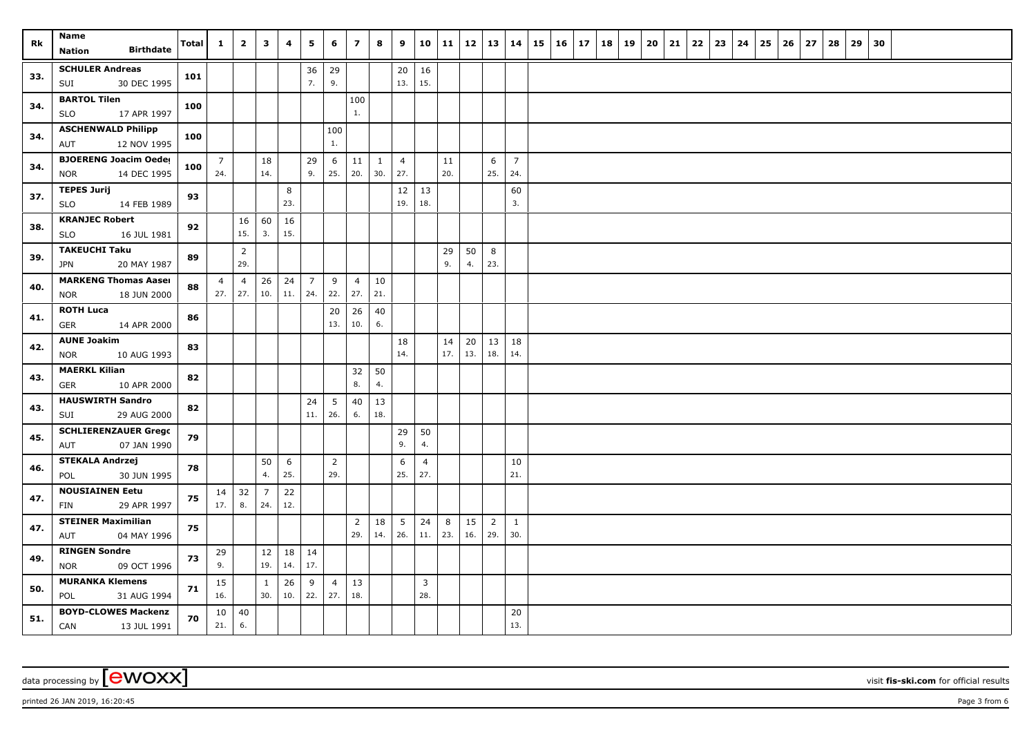| Rk  | Name                                                      | Total | $\mathbf{1}$          | $\overline{2}$ | $\overline{\mathbf{3}}$ | 4         | 5                 | 6                     | $\overline{\mathbf{z}}$ | 8                   | 9                     | 10                    | 11        | <b>12</b> | 13             | 14                    | 15 | 16 | 17 | 18 | 19 | 20 | 21 | 22 | 23 | 24 | 25 | 26 | 27 | 28 | 29 30 |  |  |  |
|-----|-----------------------------------------------------------|-------|-----------------------|----------------|-------------------------|-----------|-------------------|-----------------------|-------------------------|---------------------|-----------------------|-----------------------|-----------|-----------|----------------|-----------------------|----|----|----|----|----|----|----|----|----|----|----|----|----|----|-------|--|--|--|
|     | <b>Birthdate</b><br><b>Nation</b>                         |       |                       |                |                         |           |                   |                       |                         |                     |                       |                       |           |           |                |                       |    |    |    |    |    |    |    |    |    |    |    |    |    |    |       |  |  |  |
| 33. | <b>SCHULER Andreas</b>                                    | 101   |                       |                |                         |           | 36                | 29                    |                         |                     | 20                    | 16                    |           |           |                |                       |    |    |    |    |    |    |    |    |    |    |    |    |    |    |       |  |  |  |
|     | 30 DEC 1995<br>SUI                                        |       |                       |                |                         |           | 7.                | 9.                    |                         |                     | 13.                   | 15.                   |           |           |                |                       |    |    |    |    |    |    |    |    |    |    |    |    |    |    |       |  |  |  |
| 34. | <b>BARTOL Tilen</b>                                       | 100   |                       |                |                         |           |                   |                       | 100                     |                     |                       |                       |           |           |                |                       |    |    |    |    |    |    |    |    |    |    |    |    |    |    |       |  |  |  |
|     | 17 APR 1997<br><b>SLO</b>                                 |       |                       |                |                         |           |                   |                       | 1.                      |                     |                       |                       |           |           |                |                       |    |    |    |    |    |    |    |    |    |    |    |    |    |    |       |  |  |  |
| 34. | <b>ASCHENWALD Philipp</b>                                 | 100   |                       |                |                         |           |                   | 100                   |                         |                     |                       |                       |           |           |                |                       |    |    |    |    |    |    |    |    |    |    |    |    |    |    |       |  |  |  |
|     | 12 NOV 1995<br>AUT                                        |       |                       |                |                         |           |                   | $1.$                  |                         |                     |                       |                       |           |           |                |                       |    |    |    |    |    |    |    |    |    |    |    |    |    |    |       |  |  |  |
| 34. | <b>BJOERENG Joacim Oeder</b><br>14 DEC 1995<br><b>NOR</b> | 100   | $\overline{7}$<br>24. |                | 18<br>14.               |           | 29<br>9.          | 6<br>25.              | 11<br>20.               | $\mathbf{1}$<br>30. | $\overline{4}$<br>27. |                       | 11<br>20. |           | 6<br>25.       | $\overline{7}$<br>24. |    |    |    |    |    |    |    |    |    |    |    |    |    |    |       |  |  |  |
|     | <b>TEPES Jurij</b>                                        |       |                       |                |                         | 8         |                   |                       |                         |                     | 12                    | 13                    |           |           |                | 60                    |    |    |    |    |    |    |    |    |    |    |    |    |    |    |       |  |  |  |
| 37. | 14 FEB 1989<br><b>SLO</b>                                 | 93    |                       |                |                         | 23.       |                   |                       |                         |                     | 19.                   | 18.                   |           |           |                | 3.                    |    |    |    |    |    |    |    |    |    |    |    |    |    |    |       |  |  |  |
|     | <b>KRANJEC Robert</b>                                     |       |                       | 16             | 60                      | 16        |                   |                       |                         |                     |                       |                       |           |           |                |                       |    |    |    |    |    |    |    |    |    |    |    |    |    |    |       |  |  |  |
| 38. | <b>SLO</b><br>16 JUL 1981                                 | 92    |                       | 15.            | 3.                      | 15.       |                   |                       |                         |                     |                       |                       |           |           |                |                       |    |    |    |    |    |    |    |    |    |    |    |    |    |    |       |  |  |  |
|     | <b>TAKEUCHI Taku</b>                                      |       |                       | $\overline{2}$ |                         |           |                   |                       |                         |                     |                       |                       | 29        | 50        | 8              |                       |    |    |    |    |    |    |    |    |    |    |    |    |    |    |       |  |  |  |
| 39. | 20 MAY 1987<br><b>JPN</b>                                 | 89    |                       | 29.            |                         |           |                   |                       |                         |                     |                       |                       | 9.        | 4.        | 23.            |                       |    |    |    |    |    |    |    |    |    |    |    |    |    |    |       |  |  |  |
| 40. | <b>MARKENG Thomas Aaser</b>                               | 88    | $\overline{4}$        | $\overline{4}$ | $26\,$                  | 24        | $\overline{7}$    | 9                     | $\overline{4}$          | 10                  |                       |                       |           |           |                |                       |    |    |    |    |    |    |    |    |    |    |    |    |    |    |       |  |  |  |
|     | <b>NOR</b><br>18 JUN 2000                                 |       | 27.                   | 27.            | 10.                     | 11.       | 24.               | 22.                   | 27.                     | 21.                 |                       |                       |           |           |                |                       |    |    |    |    |    |    |    |    |    |    |    |    |    |    |       |  |  |  |
| 41. | <b>ROTH Luca</b>                                          | 86    |                       |                |                         |           |                   | 20                    | 26                      | 40                  |                       |                       |           |           |                |                       |    |    |    |    |    |    |    |    |    |    |    |    |    |    |       |  |  |  |
|     | <b>GER</b><br>14 APR 2000                                 |       |                       |                |                         |           |                   | 13.                   | 10.                     | 6.                  |                       |                       |           |           |                |                       |    |    |    |    |    |    |    |    |    |    |    |    |    |    |       |  |  |  |
| 42. | <b>AUNE Joakim</b>                                        | 83    |                       |                |                         |           |                   |                       |                         |                     | 18                    |                       | 14        | 20        | 13             | 18                    |    |    |    |    |    |    |    |    |    |    |    |    |    |    |       |  |  |  |
|     | <b>NOR</b><br>10 AUG 1993                                 |       |                       |                |                         |           |                   |                       |                         |                     | 14.                   |                       | 17.       | 13.       | 18.            | 14.                   |    |    |    |    |    |    |    |    |    |    |    |    |    |    |       |  |  |  |
| 43. | <b>MAERKL Kilian</b><br><b>GER</b><br>10 APR 2000         | 82    |                       |                |                         |           |                   |                       | 32<br>8.                | 50<br>4.            |                       |                       |           |           |                |                       |    |    |    |    |    |    |    |    |    |    |    |    |    |    |       |  |  |  |
|     | <b>HAUSWIRTH Sandro</b>                                   |       |                       |                |                         |           | 24                | $5\overline{5}$       | 40                      | 13                  |                       |                       |           |           |                |                       |    |    |    |    |    |    |    |    |    |    |    |    |    |    |       |  |  |  |
| 43. | 29 AUG 2000<br>SUI                                        | 82    |                       |                |                         |           | 11.               | 26.                   | 6.                      | 18.                 |                       |                       |           |           |                |                       |    |    |    |    |    |    |    |    |    |    |    |    |    |    |       |  |  |  |
|     | <b>SCHLIERENZAUER Grego</b>                               |       |                       |                |                         |           |                   |                       |                         |                     | 29                    | 50                    |           |           |                |                       |    |    |    |    |    |    |    |    |    |    |    |    |    |    |       |  |  |  |
| 45. | 07 JAN 1990<br>AUT                                        | 79    |                       |                |                         |           |                   |                       |                         |                     | 9.                    | 4.                    |           |           |                |                       |    |    |    |    |    |    |    |    |    |    |    |    |    |    |       |  |  |  |
|     | <b>STEKALA Andrzej</b>                                    |       |                       |                | 50                      | 6         |                   | $\overline{2}$        |                         |                     | 6                     | $\overline{4}$        |           |           |                | 10                    |    |    |    |    |    |    |    |    |    |    |    |    |    |    |       |  |  |  |
| 46. | POL<br>30 JUN 1995                                        | 78    |                       |                | 4.                      | 25.       |                   | 29.                   |                         |                     | 25.                   | 27.                   |           |           |                | 21.                   |    |    |    |    |    |    |    |    |    |    |    |    |    |    |       |  |  |  |
| 47. | <b>NOUSIAINEN Eetu</b>                                    | 75    | 14                    | 32             | $\overline{7}$          | 22        |                   |                       |                         |                     |                       |                       |           |           |                |                       |    |    |    |    |    |    |    |    |    |    |    |    |    |    |       |  |  |  |
|     | 29 APR 1997<br>FIN                                        |       | 17.                   | 8.             | 24.                     | 12.       |                   |                       |                         |                     |                       |                       |           |           |                |                       |    |    |    |    |    |    |    |    |    |    |    |    |    |    |       |  |  |  |
| 47. | <b>STEINER Maximilian</b>                                 | 75    |                       |                |                         |           |                   |                       | $\overline{2}$          | 18                  | 5                     | 24                    | 8         | 15        | $\overline{2}$ | $\mathbf{1}$          |    |    |    |    |    |    |    |    |    |    |    |    |    |    |       |  |  |  |
|     | 04 MAY 1996<br>AUT                                        |       |                       |                |                         |           |                   |                       | 29.                     | 14.                 | 26.                   | $11. \,$              | 23.       | 16.       | 29.            | 30.                   |    |    |    |    |    |    |    |    |    |    |    |    |    |    |       |  |  |  |
| 49. | <b>RINGEN Sondre</b>                                      | 73    | 29<br>9.              |                | 12<br>19.               | 18<br>14. | $\vert$ 14<br>17. |                       |                         |                     |                       |                       |           |           |                |                       |    |    |    |    |    |    |    |    |    |    |    |    |    |    |       |  |  |  |
|     | <b>NOR</b><br>09 OCT 1996<br><b>MURANKA Klemens</b>       |       |                       |                |                         |           |                   |                       |                         |                     |                       |                       |           |           |                |                       |    |    |    |    |    |    |    |    |    |    |    |    |    |    |       |  |  |  |
| 50. | POL<br>31 AUG 1994                                        | 71    | 15<br>16.             |                | $\mathbf{1}$<br>30.     | 26<br>10. | 9<br>22.          | $\overline{4}$<br>27. | $13\,$<br>18.           |                     |                       | $\overline{3}$<br>28. |           |           |                |                       |    |    |    |    |    |    |    |    |    |    |    |    |    |    |       |  |  |  |
|     | <b>BOYD-CLOWES Mackenzi</b>                               |       | 10                    | 40             |                         |           |                   |                       |                         |                     |                       |                       |           |           |                | 20                    |    |    |    |    |    |    |    |    |    |    |    |    |    |    |       |  |  |  |
| 51. | CAN<br>13 JUL 1991                                        | 70    | 21.                   | 6.             |                         |           |                   |                       |                         |                     |                       |                       |           |           |                | 13.                   |    |    |    |    |    |    |    |    |    |    |    |    |    |    |       |  |  |  |

data processing by **CWOXX** visit **fis-ski.com** for official results

printed 26 JAN 2019, 16:20:45 **Page 3** from 6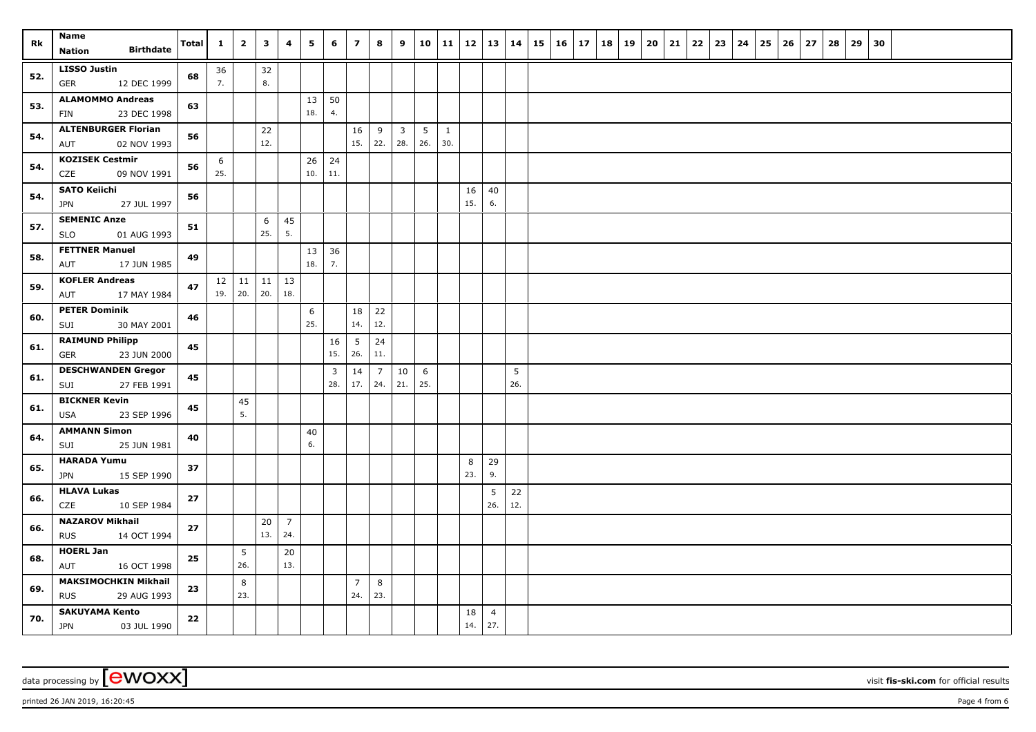| Rk  | Name<br><b>Birthdate</b><br>Nation                       | Total | $\mathbf{1}$ | $\overline{2}$                 | $\mathbf{3}$ | 4                     | 5         | 6                     | $\overline{7}$         | 8                     | 9                              | 10                     | 11                  |           | 12   13   14          |           | $15 \mid 16 \mid 17$ | 18 | 19 | 20 | 21 | $22 \mid 23$ | 24 | 25 | 26 | 27 | 28 | 29 | 30 |  |  |
|-----|----------------------------------------------------------|-------|--------------|--------------------------------|--------------|-----------------------|-----------|-----------------------|------------------------|-----------------------|--------------------------------|------------------------|---------------------|-----------|-----------------------|-----------|----------------------|----|----|----|----|--------------|----|----|----|----|----|----|----|--|--|
| 52. | <b>LISSO Justin</b><br><b>GER</b><br>12 DEC 1999         | 68    | 36<br>7.     |                                | 32<br>8.     |                       |           |                       |                        |                       |                                |                        |                     |           |                       |           |                      |    |    |    |    |              |    |    |    |    |    |    |    |  |  |
| 53. | <b>ALAMOMMO Andreas</b><br>23 DEC 1998<br>FIN            | 63    |              |                                |              |                       | 13<br>18. | 50<br>4.              |                        |                       |                                |                        |                     |           |                       |           |                      |    |    |    |    |              |    |    |    |    |    |    |    |  |  |
| 54. | <b>ALTENBURGER Florian</b><br>02 NOV 1993<br>AUT         | 56    |              |                                | 22<br>12.    |                       |           |                       | 16<br>15.              | 9 <sup>1</sup><br>22. | $\overline{\mathbf{3}}$<br>28. | $5\overline{)}$<br>26. | $\mathbf{1}$<br>30. |           |                       |           |                      |    |    |    |    |              |    |    |    |    |    |    |    |  |  |
| 54. | <b>KOZISEK Cestmir</b><br>CZE<br>09 NOV 1991             | 56    | 6<br>25.     |                                |              |                       | 26<br>10. | 24<br>11.             |                        |                       |                                |                        |                     |           |                       |           |                      |    |    |    |    |              |    |    |    |    |    |    |    |  |  |
| 54. | <b>SATO Keiichi</b><br>27 JUL 1997<br><b>JPN</b>         | 56    |              |                                |              |                       |           |                       |                        |                       |                                |                        |                     | 16<br>15. | 40<br>6.              |           |                      |    |    |    |    |              |    |    |    |    |    |    |    |  |  |
| 57. | <b>SEMENIC Anze</b><br>SLO<br>01 AUG 1993                | 51    |              |                                | 6<br>25.     | 45<br>5.              |           |                       |                        |                       |                                |                        |                     |           |                       |           |                      |    |    |    |    |              |    |    |    |    |    |    |    |  |  |
| 58. | <b>FETTNER Manuel</b><br>17 JUN 1985<br>AUT              | 49    |              |                                |              |                       | 13<br>18. | 36<br>7.              |                        |                       |                                |                        |                     |           |                       |           |                      |    |    |    |    |              |    |    |    |    |    |    |    |  |  |
| 59. | <b>KOFLER Andreas</b><br>AUT<br>17 MAY 1984              | 47    |              | $12 \mid 11 \mid$<br>$19.$ 20. | 11<br>20.    | 13<br>18.             |           |                       |                        |                       |                                |                        |                     |           |                       |           |                      |    |    |    |    |              |    |    |    |    |    |    |    |  |  |
| 60. | <b>PETER Dominik</b><br>30 MAY 2001<br>SUI               | 46    |              |                                |              |                       | 6<br>25.  |                       | 18<br>14.              | 22<br>12.             |                                |                        |                     |           |                       |           |                      |    |    |    |    |              |    |    |    |    |    |    |    |  |  |
| 61. | <b>RAIMUND Philipp</b><br>23 JUN 2000<br><b>GER</b>      | 45    |              |                                |              |                       |           | 16<br>15.             | $5\overline{)}$<br>26. | 24<br>11.             |                                |                        |                     |           |                       |           |                      |    |    |    |    |              |    |    |    |    |    |    |    |  |  |
| 61. | <b>DESCHWANDEN Gregor</b><br>SUI<br>27 FEB 1991          | 45    |              |                                |              |                       |           | $\overline{3}$<br>28. | 14<br>17.              | $\overline{7}$<br>24. | $10\,$<br>21.                  | 6<br>25.               |                     |           |                       | 5<br>26.  |                      |    |    |    |    |              |    |    |    |    |    |    |    |  |  |
| 61. | <b>BICKNER Kevin</b><br>USA<br>23 SEP 1996               | 45    |              | 45<br>5.                       |              |                       |           |                       |                        |                       |                                |                        |                     |           |                       |           |                      |    |    |    |    |              |    |    |    |    |    |    |    |  |  |
| 64. | <b>AMMANN Simon</b><br>25 JUN 1981<br>SUI                | 40    |              |                                |              |                       | 40<br>6.  |                       |                        |                       |                                |                        |                     |           |                       |           |                      |    |    |    |    |              |    |    |    |    |    |    |    |  |  |
| 65. | <b>HARADA Yumu</b><br>15 SEP 1990<br><b>JPN</b>          | 37    |              |                                |              |                       |           |                       |                        |                       |                                |                        |                     | 8<br>23.  | 29<br>9.              |           |                      |    |    |    |    |              |    |    |    |    |    |    |    |  |  |
| 66. | <b>HLAVA Lukas</b><br>CZE<br>10 SEP 1984                 | 27    |              |                                |              |                       |           |                       |                        |                       |                                |                        |                     |           | 5<br>26.              | 22<br>12. |                      |    |    |    |    |              |    |    |    |    |    |    |    |  |  |
| 66. | <b>NAZAROV Mikhail</b><br><b>RUS</b><br>14 OCT 1994      | 27    |              |                                | 20<br>13.    | $\overline{7}$<br>24. |           |                       |                        |                       |                                |                        |                     |           |                       |           |                      |    |    |    |    |              |    |    |    |    |    |    |    |  |  |
| 68. | <b>HOERL Jan</b><br>AUT<br>16 OCT 1998                   | 25    |              | 5<br>26.                       |              | 20<br>13.             |           |                       |                        |                       |                                |                        |                     |           |                       |           |                      |    |    |    |    |              |    |    |    |    |    |    |    |  |  |
| 69. | <b>MAKSIMOCHKIN Mikhail</b><br><b>RUS</b><br>29 AUG 1993 | 23    |              | 8<br>23.                       |              |                       |           |                       | $\overline{7}$<br>24.  | 8<br>23.              |                                |                        |                     |           |                       |           |                      |    |    |    |    |              |    |    |    |    |    |    |    |  |  |
| 70. | <b>SAKUYAMA Kento</b><br><b>JPN</b><br>03 JUL 1990       | 22    |              |                                |              |                       |           |                       |                        |                       |                                |                        |                     | 18<br>14. | $\overline{4}$<br>27. |           |                      |    |    |    |    |              |    |    |    |    |    |    |    |  |  |

printed 26 JAN 2019, 16:20:45 **Page 4** from 6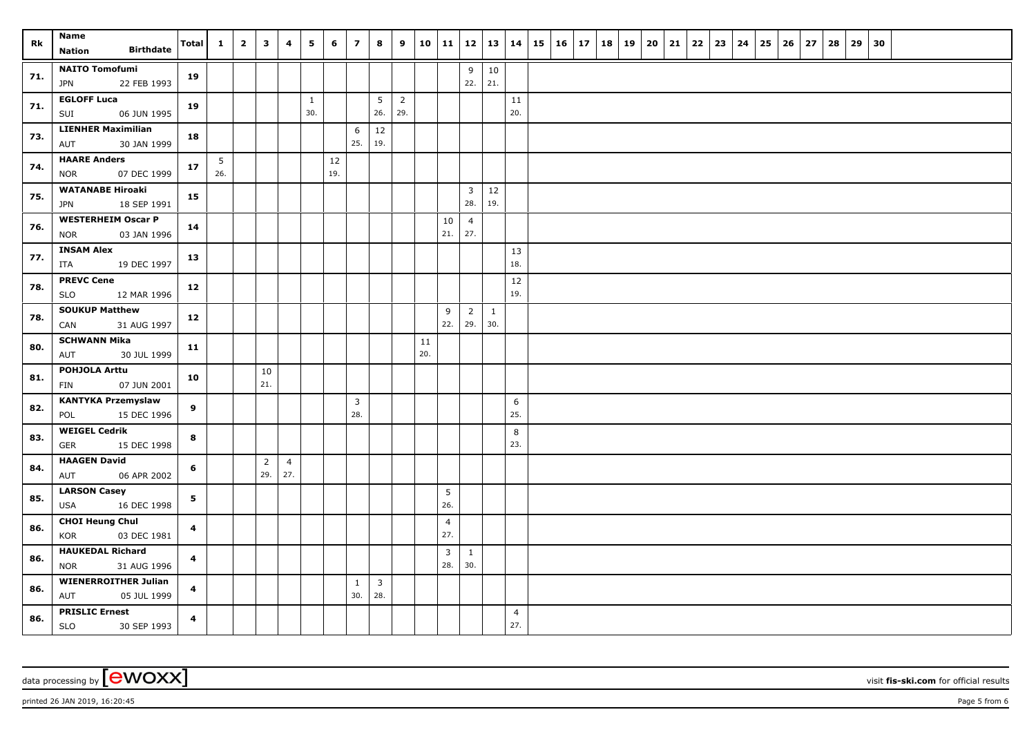| Rk  | Name<br><b>Birthdate</b><br><b>Nation</b>         | <b>Total</b>            | $\mathbf{1}$ | $\overline{2}$ | $\overline{\mathbf{3}}$ | 4              | 5            | 6   | $\overline{7}$        | 8                     | 9              | 10  | 11             |                       | 12 13         | 14             | $15 \mid 16 \mid 17$ |  | 18   19 | $20 \mid 21$ | $22 \mid 23$ | 24 | 25 | 26 | 27 | 28 | 29 30 |  |  |  |
|-----|---------------------------------------------------|-------------------------|--------------|----------------|-------------------------|----------------|--------------|-----|-----------------------|-----------------------|----------------|-----|----------------|-----------------------|---------------|----------------|----------------------|--|---------|--------------|--------------|----|----|----|----|----|-------|--|--|--|
|     | <b>NAITO Tomofumi</b>                             |                         |              |                |                         |                |              |     |                       |                       |                |     |                |                       |               |                |                      |  |         |              |              |    |    |    |    |    |       |  |  |  |
| 71. | 22 FEB 1993<br>JPN                                | 19                      |              |                |                         |                |              |     |                       |                       |                |     |                | 9<br>22.              | $10\,$<br>21. |                |                      |  |         |              |              |    |    |    |    |    |       |  |  |  |
|     | <b>EGLOFF Luca</b>                                |                         |              |                |                         |                | $\mathbf{1}$ |     |                       | 5                     | $\overline{2}$ |     |                |                       |               | 11             |                      |  |         |              |              |    |    |    |    |    |       |  |  |  |
| 71. | 06 JUN 1995<br>SUI                                | 19                      |              |                |                         |                | 30.          |     |                       | 26.                   | 29.            |     |                |                       |               | 20.            |                      |  |         |              |              |    |    |    |    |    |       |  |  |  |
|     | <b>LIENHER Maximilian</b>                         |                         |              |                |                         |                |              |     | 6                     | 12                    |                |     |                |                       |               |                |                      |  |         |              |              |    |    |    |    |    |       |  |  |  |
| 73. | AUT<br>30 JAN 1999                                | 18                      |              |                |                         |                |              |     | 25.                   | 19.                   |                |     |                |                       |               |                |                      |  |         |              |              |    |    |    |    |    |       |  |  |  |
| 74. | <b>HAARE Anders</b>                               | 17                      | 5            |                |                         |                |              | 12  |                       |                       |                |     |                |                       |               |                |                      |  |         |              |              |    |    |    |    |    |       |  |  |  |
|     | 07 DEC 1999<br><b>NOR</b>                         |                         | 26.          |                |                         |                |              | 19. |                       |                       |                |     |                |                       |               |                |                      |  |         |              |              |    |    |    |    |    |       |  |  |  |
| 75. | <b>WATANABE Hiroaki</b>                           | 15                      |              |                |                         |                |              |     |                       |                       |                |     |                | $\overline{3}$        | $12\,$        |                |                      |  |         |              |              |    |    |    |    |    |       |  |  |  |
|     | 18 SEP 1991<br>JPN                                |                         |              |                |                         |                |              |     |                       |                       |                |     |                | 28.                   | 19.           |                |                      |  |         |              |              |    |    |    |    |    |       |  |  |  |
| 76. | <b>WESTERHEIM Oscar P</b>                         | 14                      |              |                |                         |                |              |     |                       |                       |                |     | 10             | $\overline{4}$<br>27. |               |                |                      |  |         |              |              |    |    |    |    |    |       |  |  |  |
|     | 03 JAN 1996<br><b>NOR</b>                         |                         |              |                |                         |                |              |     |                       |                       |                |     | 21.            |                       |               |                |                      |  |         |              |              |    |    |    |    |    |       |  |  |  |
| 77. | <b>INSAM Alex</b><br>19 DEC 1997<br>ITA           | 13                      |              |                |                         |                |              |     |                       |                       |                |     |                |                       |               | 13<br>18.      |                      |  |         |              |              |    |    |    |    |    |       |  |  |  |
|     | <b>PREVC Cene</b>                                 |                         |              |                |                         |                |              |     |                       |                       |                |     |                |                       |               | 12             |                      |  |         |              |              |    |    |    |    |    |       |  |  |  |
| 78. | <b>SLO</b><br>12 MAR 1996                         | 12                      |              |                |                         |                |              |     |                       |                       |                |     |                |                       |               | 19.            |                      |  |         |              |              |    |    |    |    |    |       |  |  |  |
|     | <b>SOUKUP Matthew</b>                             |                         |              |                |                         |                |              |     |                       |                       |                |     | 9              | $\overline{2}$        | 1             |                |                      |  |         |              |              |    |    |    |    |    |       |  |  |  |
| 78. | CAN<br>31 AUG 1997                                | 12                      |              |                |                         |                |              |     |                       |                       |                |     | 22.            | 29.                   | 30.           |                |                      |  |         |              |              |    |    |    |    |    |       |  |  |  |
| 80. | <b>SCHWANN Mika</b>                               | 11                      |              |                |                         |                |              |     |                       |                       |                | 11  |                |                       |               |                |                      |  |         |              |              |    |    |    |    |    |       |  |  |  |
|     | 30 JUL 1999<br>AUT                                |                         |              |                |                         |                |              |     |                       |                       |                | 20. |                |                       |               |                |                      |  |         |              |              |    |    |    |    |    |       |  |  |  |
| 81. | POHJOLA Arttu                                     | 10                      |              |                | 10                      |                |              |     |                       |                       |                |     |                |                       |               |                |                      |  |         |              |              |    |    |    |    |    |       |  |  |  |
|     | 07 JUN 2001<br>FIN                                |                         |              |                | 21.                     |                |              |     |                       |                       |                |     |                |                       |               |                |                      |  |         |              |              |    |    |    |    |    |       |  |  |  |
| 82. | <b>KANTYKA Przemyslaw</b>                         | $\mathbf{9}$            |              |                |                         |                |              |     | $\overline{3}$<br>28. |                       |                |     |                |                       |               | 6<br>25.       |                      |  |         |              |              |    |    |    |    |    |       |  |  |  |
|     | POL<br>15 DEC 1996<br><b>WEIGEL Cedrik</b>        |                         |              |                |                         |                |              |     |                       |                       |                |     |                |                       |               |                |                      |  |         |              |              |    |    |    |    |    |       |  |  |  |
| 83. | <b>GER</b><br>15 DEC 1998                         | 8                       |              |                |                         |                |              |     |                       |                       |                |     |                |                       |               | 8<br>23.       |                      |  |         |              |              |    |    |    |    |    |       |  |  |  |
|     | <b>HAAGEN David</b>                               |                         |              |                | $\overline{2}$          | $\overline{4}$ |              |     |                       |                       |                |     |                |                       |               |                |                      |  |         |              |              |    |    |    |    |    |       |  |  |  |
| 84. | AUT<br>06 APR 2002                                | 6                       |              |                | 29.                     | 27.            |              |     |                       |                       |                |     |                |                       |               |                |                      |  |         |              |              |    |    |    |    |    |       |  |  |  |
|     | <b>LARSON Casey</b>                               |                         |              |                |                         |                |              |     |                       |                       |                |     | 5              |                       |               |                |                      |  |         |              |              |    |    |    |    |    |       |  |  |  |
| 85. | <b>USA</b><br>16 DEC 1998                         | 5                       |              |                |                         |                |              |     |                       |                       |                |     | 26.            |                       |               |                |                      |  |         |              |              |    |    |    |    |    |       |  |  |  |
| 86. | <b>CHOI Heung Chul</b>                            | $\overline{\mathbf{4}}$ |              |                |                         |                |              |     |                       |                       |                |     | $\overline{4}$ |                       |               |                |                      |  |         |              |              |    |    |    |    |    |       |  |  |  |
|     | KOR<br>03 DEC 1981                                |                         |              |                |                         |                |              |     |                       |                       |                |     | 27.            |                       |               |                |                      |  |         |              |              |    |    |    |    |    |       |  |  |  |
| 86. | <b>HAUKEDAL Richard</b>                           | $\overline{\mathbf{4}}$ |              |                |                         |                |              |     |                       |                       |                |     | 3              | $\mathbf{1}$          |               |                |                      |  |         |              |              |    |    |    |    |    |       |  |  |  |
|     | 31 AUG 1996<br><b>NOR</b>                         |                         |              |                |                         |                |              |     |                       |                       |                |     | 28.            | 30.                   |               |                |                      |  |         |              |              |    |    |    |    |    |       |  |  |  |
| 86. | <b>WIENERROITHER Julian</b><br>05 JUL 1999<br>AUT | $\overline{\mathbf{4}}$ |              |                |                         |                |              |     | $\mathbf{1}$<br>30.   | $\overline{3}$<br>28. |                |     |                |                       |               |                |                      |  |         |              |              |    |    |    |    |    |       |  |  |  |
|     | <b>PRISLIC Ernest</b>                             |                         |              |                |                         |                |              |     |                       |                       |                |     |                |                       |               | $\overline{4}$ |                      |  |         |              |              |    |    |    |    |    |       |  |  |  |
| 86. | SLO<br>30 SEP 1993                                | $\overline{\mathbf{4}}$ |              |                |                         |                |              |     |                       |                       |                |     |                |                       |               | 27.            |                      |  |         |              |              |    |    |    |    |    |       |  |  |  |

printed 26 JAN 2019, 16:20:45 Page 5 from 6